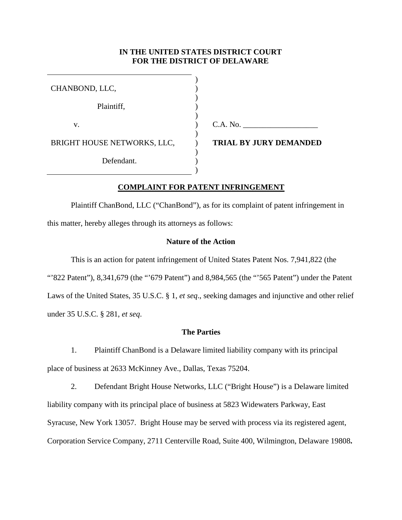# **IN THE UNITED STATES DISTRICT COURT FOR THE DISTRICT OF DELAWARE**

| CHANBOND, LLC,              |                               |
|-----------------------------|-------------------------------|
| Plaintiff,                  |                               |
| V.                          | C.A. No.                      |
| BRIGHT HOUSE NETWORKS, LLC, | <b>TRIAL BY JURY DEMANDED</b> |
| Defendant.                  |                               |
|                             |                               |

## **COMPLAINT FOR PATENT INFRINGEMENT**

Plaintiff ChanBond, LLC ("ChanBond"), as for its complaint of patent infringement in this matter, hereby alleges through its attorneys as follows:

# **Nature of the Action**

This is an action for patent infringement of United States Patent Nos. 7,941,822 (the "822 Patent"), 8,341,679 (the "679 Patent") and 8,984,565 (the "565 Patent") under the Patent Laws of the United States, 35 U.S.C. § 1, *et seq*., seeking damages and injunctive and other relief under 35 U.S.C. § 281, *et seq*.

## **The Parties**

1. Plaintiff ChanBond is a Delaware limited liability company with its principal place of business at 2633 McKinney Ave., Dallas, Texas 75204.

2. Defendant Bright House Networks, LLC ("Bright House") is a Delaware limited liability company with its principal place of business at 5823 Widewaters Parkway, East Syracuse, New York 13057. Bright House may be served with process via its registered agent, Corporation Service Company, 2711 Centerville Road, Suite 400, Wilmington, Delaware 19808**.**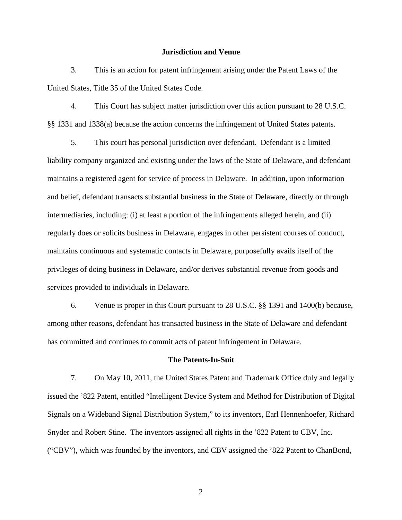#### **Jurisdiction and Venue**

3. This is an action for patent infringement arising under the Patent Laws of the United States, Title 35 of the United States Code.

4. This Court has subject matter jurisdiction over this action pursuant to 28 U.S.C. §§ 1331 and 1338(a) because the action concerns the infringement of United States patents.

5. This court has personal jurisdiction over defendant. Defendant is a limited liability company organized and existing under the laws of the State of Delaware, and defendant maintains a registered agent for service of process in Delaware. In addition, upon information and belief, defendant transacts substantial business in the State of Delaware, directly or through intermediaries, including: (i) at least a portion of the infringements alleged herein, and (ii) regularly does or solicits business in Delaware, engages in other persistent courses of conduct, maintains continuous and systematic contacts in Delaware, purposefully avails itself of the privileges of doing business in Delaware, and/or derives substantial revenue from goods and services provided to individuals in Delaware.

6. Venue is proper in this Court pursuant to 28 U.S.C. §§ 1391 and 1400(b) because, among other reasons, defendant has transacted business in the State of Delaware and defendant has committed and continues to commit acts of patent infringement in Delaware.

#### **The Patents-In-Suit**

7. On May 10, 2011, the United States Patent and Trademark Office duly and legally issued the '822 Patent, entitled "Intelligent Device System and Method for Distribution of Digital Signals on a Wideband Signal Distribution System," to its inventors, Earl Hennenhoefer, Richard Snyder and Robert Stine. The inventors assigned all rights in the '822 Patent to CBV, Inc. ("CBV"), which was founded by the inventors, and CBV assigned the '822 Patent to ChanBond,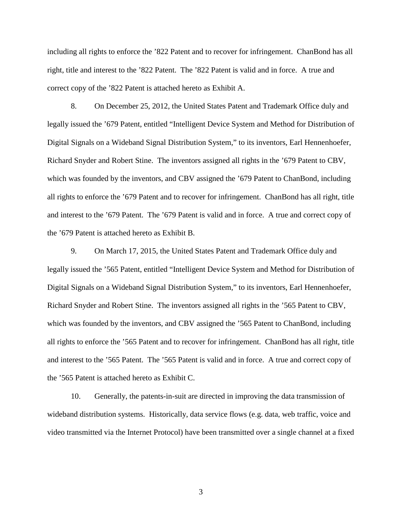including all rights to enforce the '822 Patent and to recover for infringement. ChanBond has all right, title and interest to the '822 Patent. The '822 Patent is valid and in force. A true and correct copy of the '822 Patent is attached hereto as Exhibit A.

8. On December 25, 2012, the United States Patent and Trademark Office duly and legally issued the '679 Patent, entitled "Intelligent Device System and Method for Distribution of Digital Signals on a Wideband Signal Distribution System," to its inventors, Earl Hennenhoefer, Richard Snyder and Robert Stine. The inventors assigned all rights in the '679 Patent to CBV, which was founded by the inventors, and CBV assigned the '679 Patent to ChanBond, including all rights to enforce the '679 Patent and to recover for infringement. ChanBond has all right, title and interest to the '679 Patent. The '679 Patent is valid and in force. A true and correct copy of the '679 Patent is attached hereto as Exhibit B.

9. On March 17, 2015, the United States Patent and Trademark Office duly and legally issued the '565 Patent, entitled "Intelligent Device System and Method for Distribution of Digital Signals on a Wideband Signal Distribution System," to its inventors, Earl Hennenhoefer, Richard Snyder and Robert Stine. The inventors assigned all rights in the '565 Patent to CBV, which was founded by the inventors, and CBV assigned the '565 Patent to ChanBond, including all rights to enforce the '565 Patent and to recover for infringement. ChanBond has all right, title and interest to the '565 Patent. The '565 Patent is valid and in force. A true and correct copy of the '565 Patent is attached hereto as Exhibit C.

10. Generally, the patents-in-suit are directed in improving the data transmission of wideband distribution systems. Historically, data service flows (e.g. data, web traffic, voice and video transmitted via the Internet Protocol) have been transmitted over a single channel at a fixed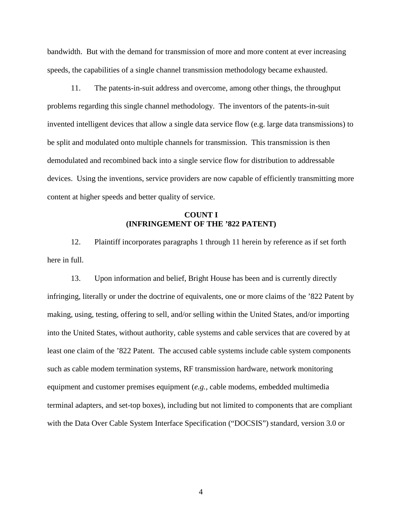bandwidth. But with the demand for transmission of more and more content at ever increasing speeds, the capabilities of a single channel transmission methodology became exhausted.

11. The patents-in-suit address and overcome, among other things, the throughput problems regarding this single channel methodology. The inventors of the patents-in-suit invented intelligent devices that allow a single data service flow (e.g. large data transmissions) to be split and modulated onto multiple channels for transmission. This transmission is then demodulated and recombined back into a single service flow for distribution to addressable devices. Using the inventions, service providers are now capable of efficiently transmitting more content at higher speeds and better quality of service.

## **COUNT I (INFRINGEMENT OF THE '822 PATENT)**

12. Plaintiff incorporates paragraphs 1 through 11 herein by reference as if set forth here in full.

13. Upon information and belief, Bright House has been and is currently directly infringing, literally or under the doctrine of equivalents, one or more claims of the '822 Patent by making, using, testing, offering to sell, and/or selling within the United States, and/or importing into the United States, without authority, cable systems and cable services that are covered by at least one claim of the '822 Patent. The accused cable systems include cable system components such as cable modem termination systems, RF transmission hardware, network monitoring equipment and customer premises equipment (*e.g.,* cable modems, embedded multimedia terminal adapters, and set-top boxes), including but not limited to components that are compliant with the Data Over Cable System Interface Specification ("DOCSIS") standard, version 3.0 or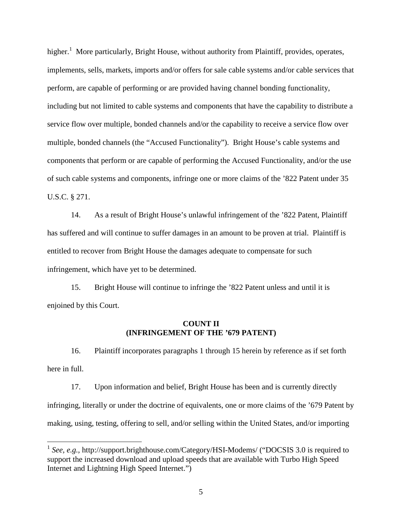higher.<sup>1</sup> More particularly, Bright House, without authority from Plaintiff, provides, operates, implements, sells, markets, imports and/or offers for sale cable systems and/or cable services that perform, are capable of performing or are provided having channel bonding functionality, including but not limited to cable systems and components that have the capability to distribute a service flow over multiple, bonded channels and/or the capability to receive a service flow over multiple, bonded channels (the "Accused Functionality"). Bright House's cable systems and components that perform or are capable of performing the Accused Functionality, and/or the use of such cable systems and components, infringe one or more claims of the '822 Patent under 35 U.S.C. § 271.

14. As a result of Bright House's unlawful infringement of the '822 Patent, Plaintiff has suffered and will continue to suffer damages in an amount to be proven at trial. Plaintiff is entitled to recover from Bright House the damages adequate to compensate for such infringement, which have yet to be determined.

15. Bright House will continue to infringe the '822 Patent unless and until it is enjoined by this Court.

## **COUNT II (INFRINGEMENT OF THE '679 PATENT)**

16. Plaintiff incorporates paragraphs 1 through 15 herein by reference as if set forth here in full.

17. Upon information and belief, Bright House has been and is currently directly infringing, literally or under the doctrine of equivalents, one or more claims of the '679 Patent by making, using, testing, offering to sell, and/or selling within the United States, and/or importing

<sup>&</sup>lt;sup>1</sup> See, e.g., http://support.brighthouse.com/Category/HSI-Modems/ ("DOCSIS 3.0 is required to support the increased download and upload speeds that are available with Turbo High Speed Internet and Lightning High Speed Internet.")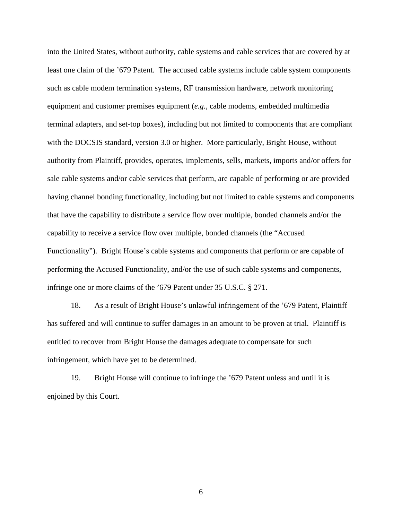into the United States, without authority, cable systems and cable services that are covered by at least one claim of the '679 Patent. The accused cable systems include cable system components such as cable modem termination systems, RF transmission hardware, network monitoring equipment and customer premises equipment (*e.g.,* cable modems, embedded multimedia terminal adapters, and set-top boxes), including but not limited to components that are compliant with the DOCSIS standard, version 3.0 or higher. More particularly, Bright House, without authority from Plaintiff, provides, operates, implements, sells, markets, imports and/or offers for sale cable systems and/or cable services that perform, are capable of performing or are provided having channel bonding functionality, including but not limited to cable systems and components that have the capability to distribute a service flow over multiple, bonded channels and/or the capability to receive a service flow over multiple, bonded channels (the "Accused Functionality"). Bright House's cable systems and components that perform or are capable of performing the Accused Functionality, and/or the use of such cable systems and components, infringe one or more claims of the '679 Patent under 35 U.S.C. § 271.

18. As a result of Bright House's unlawful infringement of the '679 Patent, Plaintiff has suffered and will continue to suffer damages in an amount to be proven at trial. Plaintiff is entitled to recover from Bright House the damages adequate to compensate for such infringement, which have yet to be determined.

19. Bright House will continue to infringe the '679 Patent unless and until it is enjoined by this Court.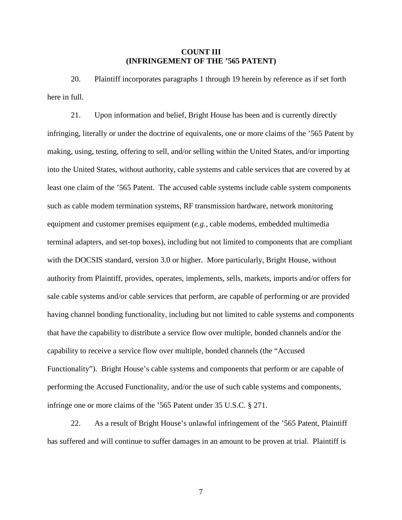## **COUNT III (INFRINGEMENT OF THE '565 PATENT)**

20. Plaintiff incorporates paragraphs 1 through 19 herein by reference as if set forth here in full.

21. Upon information and belief, Bright House has been and is currently directly infringing, literally or under the doctrine of equivalents, one or more claims of the '565 Patent by making, using, testing, offering to sell, and/or selling within the United States, and/or importing into the United States, without authority, cable systems and cable services that are covered by at least one claim of the '565 Patent. The accused cable systems include cable system components such as cable modem termination systems, RF transmission hardware, network monitoring equipment and customer premises equipment (*e.g.,* cable modems, embedded multimedia terminal adapters, and set-top boxes), including but not limited to components that are compliant with the DOCSIS standard, version 3.0 or higher. More particularly, Bright House, without authority from Plaintiff, provides, operates, implements, sells, markets, imports and/or offers for sale cable systems and/or cable services that perform, are capable of performing or are provided having channel bonding functionality, including but not limited to cable systems and components that have the capability to distribute a service flow over multiple, bonded channels and/or the capability to receive a service flow over multiple, bonded channels (the "Accused Functionality"). Bright House's cable systems and components that perform or are capable of performing the Accused Functionality, and/or the use of such cable systems and components, infringe one or more claims of the '565 Patent under 35 U.S.C. § 271.

22. As a result of Bright House's unlawful infringement of the '565 Patent, Plaintiff has suffered and will continue to suffer damages in an amount to be proven at trial. Plaintiff is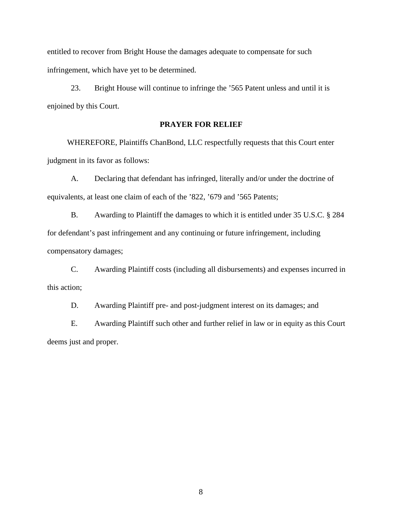entitled to recover from Bright House the damages adequate to compensate for such infringement, which have yet to be determined.

23. Bright House will continue to infringe the '565 Patent unless and until it is enjoined by this Court.

## **PRAYER FOR RELIEF**

WHEREFORE, Plaintiffs ChanBond, LLC respectfully requests that this Court enter judgment in its favor as follows:

A. Declaring that defendant has infringed, literally and/or under the doctrine of equivalents, at least one claim of each of the '822, '679 and '565 Patents;

B. Awarding to Plaintiff the damages to which it is entitled under 35 U.S.C. § 284 for defendant's past infringement and any continuing or future infringement, including compensatory damages;

C. Awarding Plaintiff costs (including all disbursements) and expenses incurred in this action;

D. Awarding Plaintiff pre- and post-judgment interest on its damages; and

E. Awarding Plaintiff such other and further relief in law or in equity as this Court deems just and proper.